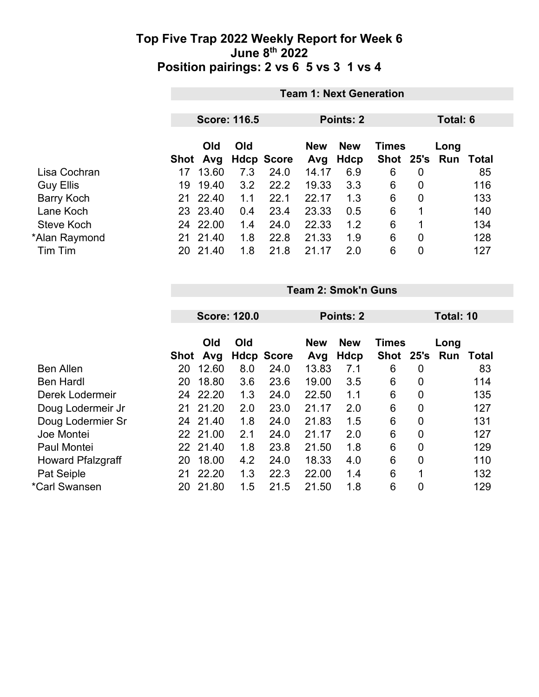|                   |                    | <b>Team 1: Next Generation</b>                      |                   |                   |                    |                             |                |             |       |  |  |  |
|-------------------|--------------------|-----------------------------------------------------|-------------------|-------------------|--------------------|-----------------------------|----------------|-------------|-------|--|--|--|
|                   |                    | <b>Score: 116.5</b><br><b>Points: 2</b><br>Total: 6 |                   |                   |                    |                             |                |             |       |  |  |  |
|                   | Old<br>Avg<br>Shot | Old                                                 | <b>Hdcp Score</b> | <b>New</b><br>Avg | <b>New</b><br>Hdcp | <b>Times</b><br><b>Shot</b> | 25's           | Long<br>Run | Total |  |  |  |
| Lisa Cochran      | 13.60<br>17        | 7.3                                                 | 24.0              | 14.17             | 6.9                | 6                           | 0              |             | 85    |  |  |  |
| <b>Guy Ellis</b>  | 19.40<br>19        | 3.2                                                 | 22.2              | 19.33             | 3.3                | 6                           | $\overline{0}$ |             | 116   |  |  |  |
| <b>Barry Koch</b> | 21 22.40           | 1.1                                                 | 22.1              | 22.17             | 1.3                | 6                           | $\overline{0}$ |             | 133   |  |  |  |
| Lane Koch         | 23 23.40           | 0.4                                                 | 23.4              | 23.33             | 0.5                | 6                           | 1              |             | 140   |  |  |  |
| Steve Koch        | 22.00<br>24        | 1.4                                                 | 24.0              | 22.33             | 1.2                | 6                           | 1              |             | 134   |  |  |  |
| *Alan Raymond     | 21.40<br>21        | 1.8                                                 | 22.8              | 21.33             | 1.9                | 6                           | 0              |             | 128   |  |  |  |
| Tim Tim           | 21.40<br>20        | 1.8                                                 | 21.8              | 21.17             | 2.0                | 6                           | 0              |             | 127   |  |  |  |

**Team 2: Smok'n Guns**

|    |       |                                                          |                     |                   |            |                   |                | Total: 10    |              |  |
|----|-------|----------------------------------------------------------|---------------------|-------------------|------------|-------------------|----------------|--------------|--------------|--|
|    |       |                                                          |                     |                   |            |                   |                |              |              |  |
|    | Old   | Old                                                      |                     | <b>New</b>        | <b>New</b> |                   |                | Long         |              |  |
|    | Avg   |                                                          |                     | Avg               |            | <b>Shot</b>       | 25's           | Run          | <b>Total</b> |  |
| 20 | 12.60 | 8.0                                                      | 24.0                | 13.83             | 7.1        | 6                 | 0              |              | 83           |  |
| 20 | 18.80 | 3.6                                                      | 23.6                | 19.00             | 3.5        | 6                 | 0              |              | 114          |  |
| 24 | 22.20 | 1.3                                                      | 24.0                | 22.50             | 1.1        | 6                 | $\overline{0}$ |              | 135          |  |
|    |       | 2.0                                                      | 23.0                | 21.17             | 2.0        | 6                 | 0              |              | 127          |  |
| 24 |       | 1.8                                                      | 24.0                | 21.83             | 1.5        | 6                 | $\overline{0}$ |              | 131          |  |
|    |       | 2.1                                                      | 24.0                | 21.17             | 2.0        | 6                 | 0              |              | 127          |  |
|    |       | 1.8                                                      | 23.8                | 21.50             | 1.8        | 6                 | $\overline{0}$ |              | 129          |  |
| 20 | 18.00 | 4.2                                                      | 24.0                | 18.33             | 4.0        | 6                 | $\overline{0}$ |              | 110          |  |
| 21 | 22.20 | 1.3                                                      | 22.3                | 22.00             | 1.4        | 6                 | 1              |              | 132          |  |
| 20 | 21.80 | 1.5                                                      | 21.5                | 21.50             | 1.8        | 6                 | 0              |              | 129          |  |
|    |       | <b>Shot</b><br>21 21.20<br>21.40<br>22 21.00<br>22 21.40 | <b>Score: 120.0</b> | <b>Hdcp Score</b> |            | Points: 2<br>Hdcp |                | <b>Times</b> |              |  |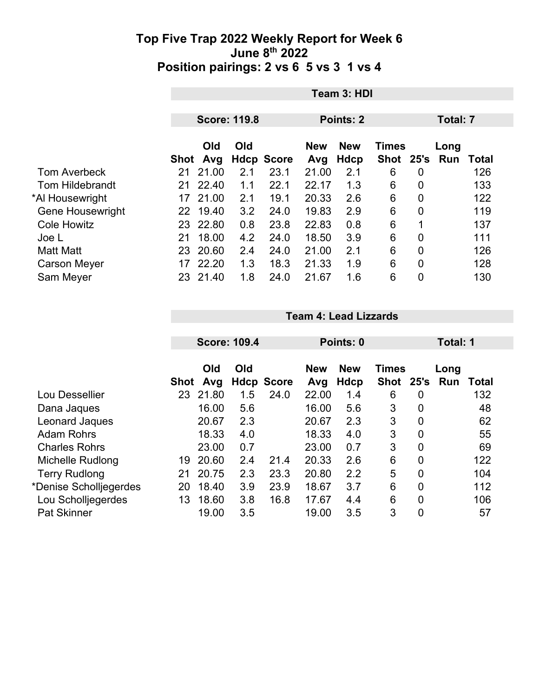|                         |             | Team 3: HDI |                     |                   |           |                                          |             |                |      |       |  |
|-------------------------|-------------|-------------|---------------------|-------------------|-----------|------------------------------------------|-------------|----------------|------|-------|--|
|                         |             |             |                     |                   |           |                                          |             |                |      |       |  |
|                         |             |             | <b>Score: 119.8</b> |                   | Points: 2 |                                          |             | Total: 7       |      |       |  |
|                         |             | Old<br>Old  |                     |                   |           | <b>New</b><br><b>New</b><br><b>Times</b> |             |                | Long |       |  |
|                         | <b>Shot</b> | Avg         |                     | <b>Hdcp Score</b> | Avg       | Hdcp                                     | <b>Shot</b> | 25's           | Run  | Total |  |
| <b>Tom Averbeck</b>     | 21          | 21.00       | 2.1                 | 23.1              | 21.00     | 2.1                                      | 6           | $\overline{0}$ |      | 126   |  |
| <b>Tom Hildebrandt</b>  | 21          | 22.40       | 1.1                 | 22.1              | 22.17     | 1.3                                      | 6           | $\overline{0}$ |      | 133   |  |
| *Al Housewright         | 17          | 21.00       | 2.1                 | 19.1              | 20.33     | 2.6                                      | 6           | $\mathbf 0$    |      | 122   |  |
| <b>Gene Housewright</b> | 22          | 19.40       | 3.2                 | 24.0              | 19.83     | 2.9                                      | 6           | $\overline{0}$ |      | 119   |  |
| <b>Cole Howitz</b>      |             | 23 22.80    | 0.8                 | 23.8              | 22.83     | 0.8                                      | 6           | 1              |      | 137   |  |
| Joe L                   | 21          | 18.00       | 4.2                 | 24.0              | 18.50     | 3.9                                      | 6           | $\overline{0}$ |      | 111   |  |
| <b>Matt Matt</b>        | 23          | 20.60       | 2.4                 | 24.0              | 21.00     | 2.1                                      | 6           | $\mathbf 0$    |      | 126   |  |
| <b>Carson Meyer</b>     | 17          | 22.20       | 1.3                 | 18.3              | 21.33     | 1.9                                      | 6           | $\overline{0}$ |      | 128   |  |
| Sam Meyer               | 23          | 21.40       | 1.8                 | 24.0              | 21.67     | 1.6                                      | 6           | 0              |      | 130   |  |

**Team 4: Lead Lizzards**

|                        |             | <b>Score: 109.4</b> |     |                   | Points: 0         |                    |                             |                | Total: 1    |              |  |
|------------------------|-------------|---------------------|-----|-------------------|-------------------|--------------------|-----------------------------|----------------|-------------|--------------|--|
|                        | <b>Shot</b> | Old<br>Avg          | Old | <b>Hdcp Score</b> | <b>New</b><br>Avg | <b>New</b><br>Hdcp | <b>Times</b><br><b>Shot</b> | 25's           | Long<br>Run | <b>Total</b> |  |
| Lou Dessellier         | 23          | 21.80               | 1.5 | 24.0              | 22.00             | 1.4                | 6                           | 0              |             | 132          |  |
| Dana Jaques            |             | 16.00               | 5.6 |                   | 16.00             | 5.6                | 3                           | 0              |             | 48           |  |
| Leonard Jaques         |             | 20.67               | 2.3 |                   | 20.67             | 2.3                | 3                           | $\overline{0}$ |             | 62           |  |
| <b>Adam Rohrs</b>      |             | 18.33               | 4.0 |                   | 18.33             | 4.0                | 3                           | $\mathbf 0$    |             | 55           |  |
| <b>Charles Rohrs</b>   |             | 23.00               | 0.7 |                   | 23.00             | 0.7                | 3                           | 0              |             | 69           |  |
| Michelle Rudlong       | 19          | 20.60               | 2.4 | 21.4              | 20.33             | 2.6                | 6                           | 0              |             | 122          |  |
| <b>Terry Rudlong</b>   | 21          | 20.75               | 2.3 | 23.3              | 20.80             | 2.2                | 5                           | $\mathbf 0$    |             | 104          |  |
| *Denise Scholljegerdes | 20          | 18.40               | 3.9 | 23.9              | 18.67             | 3.7                | 6                           | $\overline{0}$ |             | 112          |  |
| Lou Scholljegerdes     | 13          | 18.60               | 3.8 | 16.8              | 17.67             | 4.4                | 6                           | $\mathbf 0$    |             | 106          |  |
| <b>Pat Skinner</b>     |             | 19.00               | 3.5 |                   | 19.00             | 3.5                | 3                           | 0              |             | 57           |  |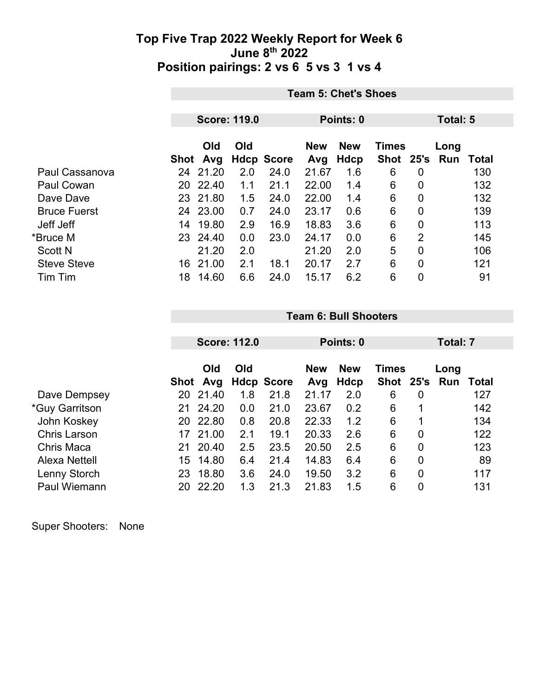|                     | <b>Team 5: Chet's Shoes</b> |          |                     |                   |            |            |              |                |      |       |
|---------------------|-----------------------------|----------|---------------------|-------------------|------------|------------|--------------|----------------|------|-------|
|                     |                             |          |                     |                   |            |            |              |                |      |       |
|                     |                             |          | <b>Score: 119.0</b> |                   | Points: 0  |            |              | Total: 5       |      |       |
|                     |                             | Old      | Old                 |                   | <b>New</b> | <b>New</b> | <b>Times</b> |                | Long |       |
|                     |                             | Shot Avg |                     | <b>Hdcp Score</b> | Avg        | Hdcp       | Shot 25's    |                | Run  | Total |
| Paul Cassanova      | 24                          | 21.20    | 2.0                 | 24.0              | 21.67      | 1.6        | 6            | 0              |      | 130   |
| Paul Cowan          | 20                          | 22.40    | 1.1                 | 21.1              | 22.00      | 1.4        | 6            | 0              |      | 132   |
| Dave Dave           |                             | 23 21.80 | 1.5                 | 24.0              | 22.00      | 1.4        | 6            | 0              |      | 132   |
| <b>Bruce Fuerst</b> |                             | 24 23.00 | 0.7                 | 24.0              | 23.17      | 0.6        | 6            | 0              |      | 139   |
| Jeff Jeff           | 14                          | 19.80    | 2.9                 | 16.9              | 18.83      | 3.6        | 6            | 0              |      | 113   |
| *Bruce M            |                             | 23 24.40 | 0.0                 | 23.0              | 24.17      | 0.0        | 6            | $\overline{2}$ |      | 145   |
| <b>Scott N</b>      |                             | 21.20    | 2.0                 |                   | 21.20      | 2.0        | 5            | 0              |      | 106   |
| <b>Steve Steve</b>  | 16                          | 21.00    | 2.1                 | 18.1              | 20.17      | 2.7        | 6            | 0              |      | 121   |
| Tim Tim             | 18                          | 14.60    | 6.6                 | 24.0              | 15.17      | 6.2        | 6            | 0              |      | 91    |

|                       |      | <b>Score: 112.0</b> |            |                   | Points: 0         |                           |                           |                | Total: 7    |       |  |  |
|-----------------------|------|---------------------|------------|-------------------|-------------------|---------------------------|---------------------------|----------------|-------------|-------|--|--|
|                       | Shot | Old<br>Avg          | <b>Old</b> | <b>Hdcp Score</b> | <b>New</b><br>Avg | <b>New</b><br><b>Hdcp</b> | <b>Times</b><br>Shot 25's |                | Long<br>Run | Total |  |  |
| Dave Dempsey          | 20   | 21.40               | 1.8        | 21.8              | 21.17             | 2.0                       | 6                         | 0              |             | 127   |  |  |
| <i>*Guy Garritson</i> | 21   | 24.20               | 0.0        | 21.0              | 23.67             | 0.2                       | 6                         | 1              |             | 142   |  |  |
| John Koskey           | 20   | 22.80               | 0.8        | 20.8              | 22.33             | 1.2                       | 6                         | 1              |             | 134   |  |  |
| <b>Chris Larson</b>   | 17   | 21.00               | 2.1        | 19.1              | 20.33             | 2.6                       | 6                         | $\overline{0}$ |             | 122   |  |  |
| Chris Maca            | 21   | 20.40               | 2.5        | 23.5              | 20.50             | 2.5                       | 6                         | 0              |             | 123   |  |  |
| Alexa Nettell         | 15   | 14.80               | 6.4        | 21.4              | 14.83             | 6.4                       | 6                         | 0              |             | 89    |  |  |
| Lenny Storch          | 23   | 18.80               | 3.6        | 24.0              | 19.50             | 3.2                       | 6                         | $\overline{0}$ |             | 117   |  |  |
| <b>Paul Wiemann</b>   | 20   | 22.20               | 1.3        | 21.3              | 21.83             | 1.5                       | 6                         | 0              |             | 131   |  |  |

**Team 6: Bull Shooters**

Super Shooters: None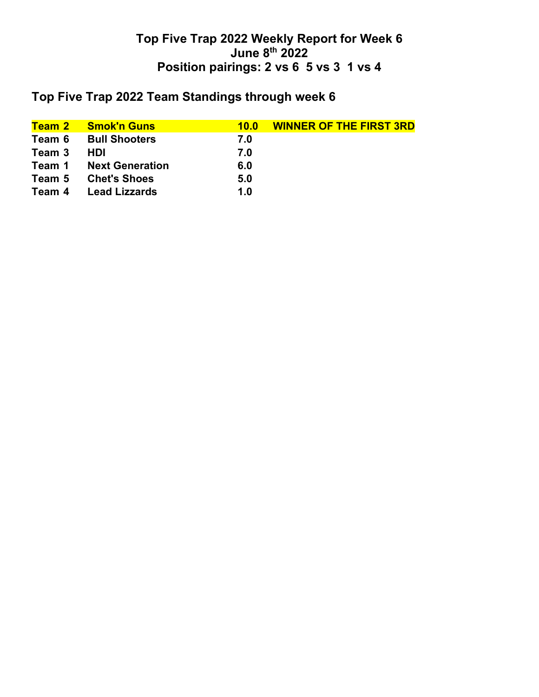# **Top Five Trap 2022 Team Standings through week 6**

| Team 2 | <b>Smok'n Guns</b>     | 10.0 | <b>WINNER OF THE FIRST 3RD</b> |
|--------|------------------------|------|--------------------------------|
| Team 6 | <b>Bull Shooters</b>   | 7.0  |                                |
| Team 3 | HDI                    | 7.0  |                                |
| Team 1 | <b>Next Generation</b> | 6.0  |                                |
| Team 5 | <b>Chet's Shoes</b>    | 5.0  |                                |
| Team 4 | <b>Lead Lizzards</b>   | 1.0  |                                |
|        |                        |      |                                |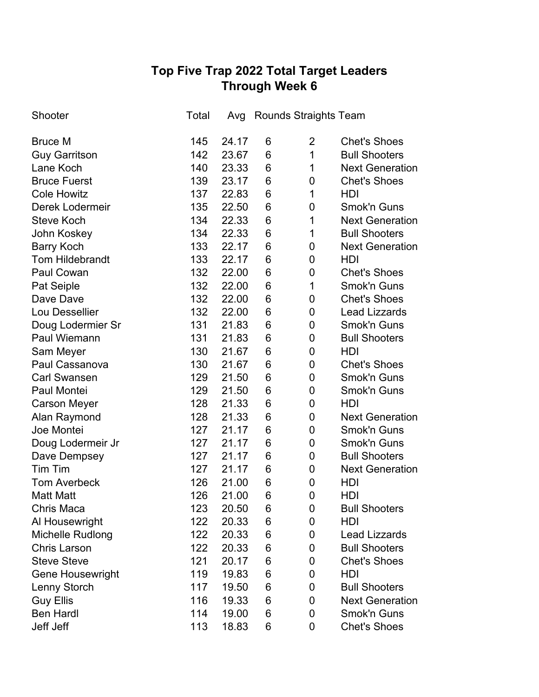## **Top Five Trap 2022 Total Target Leaders Through Week 6**

| Shooter                 | Total | Avg   |                 | <b>Rounds Straights Team</b> |                        |
|-------------------------|-------|-------|-----------------|------------------------------|------------------------|
| <b>Bruce M</b>          | 145   | 24.17 | 6               | $\overline{2}$               | <b>Chet's Shoes</b>    |
| <b>Guy Garritson</b>    | 142   | 23.67 | 6               | 1                            | <b>Bull Shooters</b>   |
| Lane Koch               | 140   | 23.33 | 6               | 1                            | <b>Next Generation</b> |
| <b>Bruce Fuerst</b>     | 139   | 23.17 | 6               | 0                            | <b>Chet's Shoes</b>    |
| <b>Cole Howitz</b>      | 137   | 22.83 | 6               | 1                            | <b>HDI</b>             |
| <b>Derek Lodermeir</b>  | 135   | 22.50 | 6               | 0                            | <b>Smok'n Guns</b>     |
| <b>Steve Koch</b>       | 134   | 22.33 | 6               | 1                            | <b>Next Generation</b> |
| John Koskey             | 134   | 22.33 | 6               | 1                            | <b>Bull Shooters</b>   |
| <b>Barry Koch</b>       | 133   | 22.17 | 6               | 0                            | <b>Next Generation</b> |
| <b>Tom Hildebrandt</b>  | 133   | 22.17 | 6               | 0                            | HDI                    |
| Paul Cowan              | 132   | 22.00 | 6               | 0                            | <b>Chet's Shoes</b>    |
| Pat Seiple              | 132   | 22.00 | 6               | 1                            | <b>Smok'n Guns</b>     |
| Dave Dave               | 132   | 22.00 | 6               | 0                            | <b>Chet's Shoes</b>    |
| Lou Dessellier          | 132   | 22.00 | 6               | 0                            | <b>Lead Lizzards</b>   |
| Doug Lodermier Sr       | 131   | 21.83 | 6               | 0                            | <b>Smok'n Guns</b>     |
| <b>Paul Wiemann</b>     | 131   | 21.83 | 6               | 0                            | <b>Bull Shooters</b>   |
| Sam Meyer               | 130   | 21.67 | 6               | 0                            | <b>HDI</b>             |
| Paul Cassanova          | 130   | 21.67 | 6               | 0                            | <b>Chet's Shoes</b>    |
| <b>Carl Swansen</b>     | 129   | 21.50 | 6               | 0                            | <b>Smok'n Guns</b>     |
| Paul Montei             | 129   | 21.50 | 6               | 0                            | <b>Smok'n Guns</b>     |
| <b>Carson Meyer</b>     | 128   | 21.33 | 6               | 0                            | HDI                    |
| Alan Raymond            | 128   | 21.33 | 6               | 0                            | <b>Next Generation</b> |
| Joe Montei              | 127   | 21.17 | 6               | 0                            | <b>Smok'n Guns</b>     |
| Doug Lodermeir Jr       | 127   | 21.17 | 6               | 0                            | <b>Smok'n Guns</b>     |
| Dave Dempsey            | 127   | 21.17 | $6\phantom{1}6$ | $\pmb{0}$                    | <b>Bull Shooters</b>   |
| <b>Tim Tim</b>          | 127   | 21.17 | 6               | 0                            | <b>Next Generation</b> |
| <b>Tom Averbeck</b>     | 126   | 21.00 | 6               | 0                            | HDI                    |
| <b>Matt Matt</b>        | 126   | 21.00 | 6               | 0                            | HDI                    |
| <b>Chris Maca</b>       | 123   | 20.50 | 6               | 0                            | <b>Bull Shooters</b>   |
| Al Housewright          | 122   | 20.33 | 6               | 0                            | HDI                    |
| Michelle Rudlong        | 122   | 20.33 | 6               | 0                            | <b>Lead Lizzards</b>   |
| <b>Chris Larson</b>     | 122   | 20.33 | 6               | 0                            | <b>Bull Shooters</b>   |
| <b>Steve Steve</b>      | 121   | 20.17 | 6               | 0                            | <b>Chet's Shoes</b>    |
| <b>Gene Housewright</b> | 119   | 19.83 | 6               | 0                            | HDI                    |
| Lenny Storch            | 117   | 19.50 | 6               | 0                            | <b>Bull Shooters</b>   |
| <b>Guy Ellis</b>        | 116   | 19.33 | 6               | 0                            | <b>Next Generation</b> |
| <b>Ben Hardl</b>        | 114   | 19.00 | 6               | 0                            | <b>Smok'n Guns</b>     |
| Jeff Jeff               | 113   | 18.83 | 6               | 0                            | <b>Chet's Shoes</b>    |